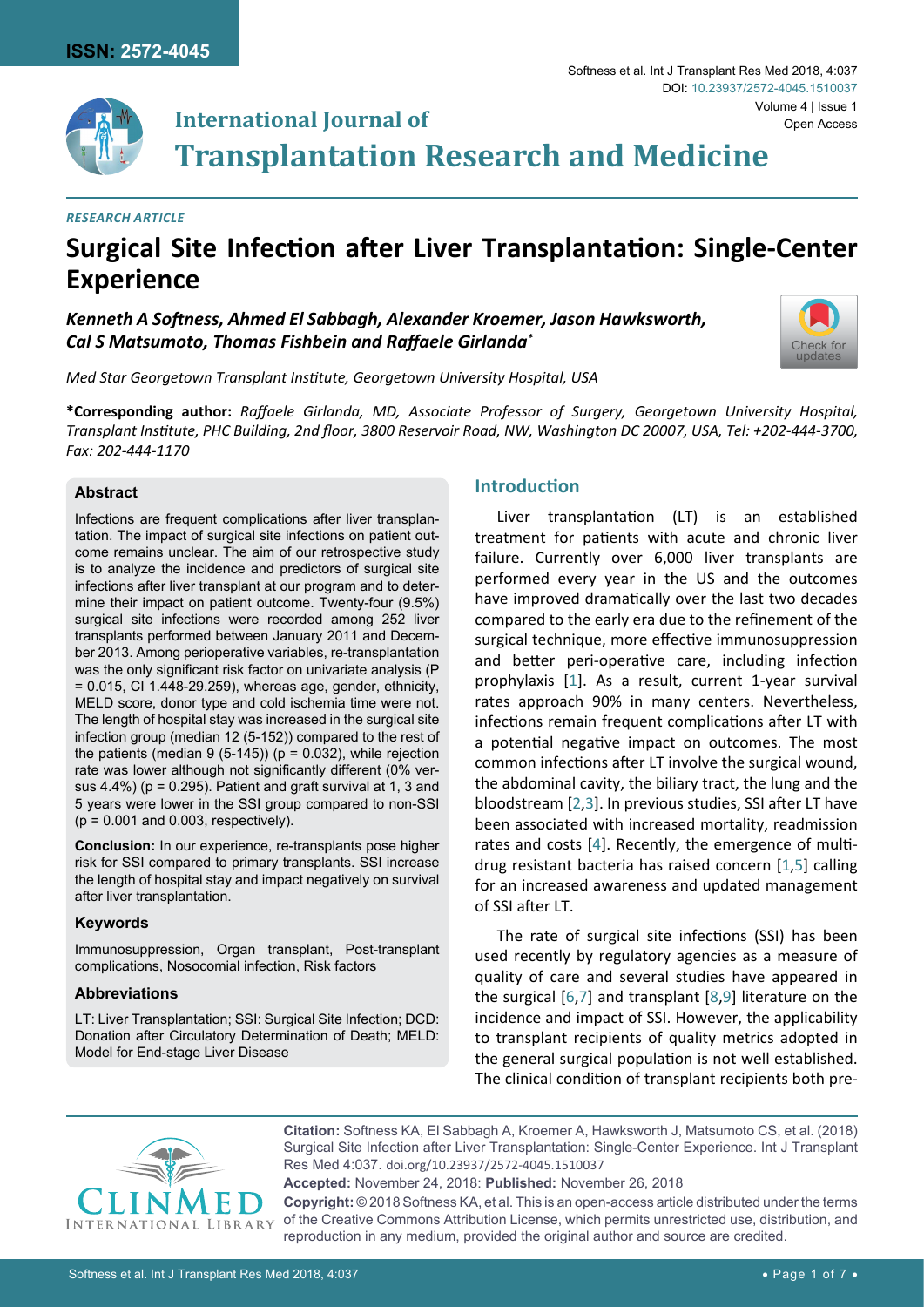

# **International Journal of Transplantation Research and Medicine**

### *Research Article*

# **Surgical Site Infection after Liver Transplantation: Single-Center Experience**

*Kenneth A Softness, Ahmed El Sabbagh, Alexander Kroemer, Jason Hawksworth, Cal S Matsumoto, Thomas Fishbein and Raffaele Girlanda\**



*Med Star Georgetown Transplant Institute, Georgetown University Hospital, USA*

**\*Corresponding author:** *Raffaele Girlanda, MD, Associate Professor of Surgery, Georgetown University Hospital, Transplant Institute, PHC Building, 2nd floor, 3800 Reservoir Road, NW, Washington DC 20007, USA, Tel: +202-444-3700, Fax: 202-444-1170*

#### **Abstract**

Infections are frequent complications after liver transplantation. The impact of surgical site infections on patient outcome remains unclear. The aim of our retrospective study is to analyze the incidence and predictors of surgical site infections after liver transplant at our program and to determine their impact on patient outcome. Twenty-four (9.5%) surgical site infections were recorded among 252 liver transplants performed between January 2011 and December 2013. Among perioperative variables, re-transplantation was the only significant risk factor on univariate analysis (P = 0.015, CI 1.448-29.259), whereas age, gender, ethnicity, MELD score, donor type and cold ischemia time were not. The length of hospital stay was increased in the surgical site infection group (median 12 (5-152)) compared to the rest of the patients (median 9 (5-145)) ( $p = 0.032$ ), while rejection rate was lower although not significantly different (0% versus 4.4%) ( $p = 0.295$ ). Patient and graft survival at 1, 3 and 5 years were lower in the SSI group compared to non-SSI  $(p = 0.001$  and 0.003, respectively).

**Conclusion:** In our experience, re-transplants pose higher risk for SSI compared to primary transplants. SSI increase the length of hospital stay and impact negatively on survival after liver transplantation.

# **Keywords**

Immunosuppression, Organ transplant, Post-transplant complications, Nosocomial infection, Risk factors

#### **Abbreviations**

LT: Liver Transplantation; SSI: Surgical Site Infection; DCD: Donation after Circulatory Determination of Death; MELD: Model for End-stage Liver Disease

# **Introduction**

Liver transplantation (LT) is an established treatment for patients with acute and chronic liver failure. Currently over 6,000 liver transplants are performed every year in the US and the outcomes have improved dramatically over the last two decades compared to the early era due to the refinement of the surgical technique, more effective immunosuppression and better peri-operative care, including infection prophylaxis [[1](#page-5-0)]. As a result, current 1-year survival rates approach 90% in many centers. Nevertheless, infections remain frequent complications after LT with a potential negative impact on outcomes. The most common infections after LT involve the surgical wound, the abdominal cavity, the biliary tract, the lung and the bloodstream [[2](#page-5-1),[3](#page-5-2)]. In previous studies, SSI after LT have been associated with increased mortality, readmission rates and costs [[4](#page-5-3)]. Recently, the emergence of multidrug resistant bacteria has raised concern [[1](#page-5-0),[5](#page-5-4)] calling for an increased awareness and updated management of SSI after LT.

The rate of surgical site infections (SSI) has been used recently by regulatory agencies as a measure of quality of care and several studies have appeared in the surgical [[6](#page-5-5),[7](#page-5-6)] and transplant [[8](#page-5-7),[9](#page-5-8)] literature on the incidence and impact of SSI. However, the applicability to transplant recipients of quality metrics adopted in the general surgical population is not well established. The clinical condition of transplant recipients both pre-



**Citation:** Softness KA, El Sabbagh A, Kroemer A, Hawksworth J, Matsumoto CS, et al. (2018) Surgical Site Infection after Liver Transplantation: Single-Center Experience. Int J Transplant Res Med 4:037. [doi.org/10.23937/2572-4045.1510037](https://doi.org/10.23937/2572-4045.1510037)

**Accepted:** November 24, 2018: **Published:** November 26, 2018

**Copyright:** © 2018 Softness KA, et al. This is an open-access article distributed under the terms of the Creative Commons Attribution License, which permits unrestricted use, distribution, and reproduction in any medium, provided the original author and source are credited.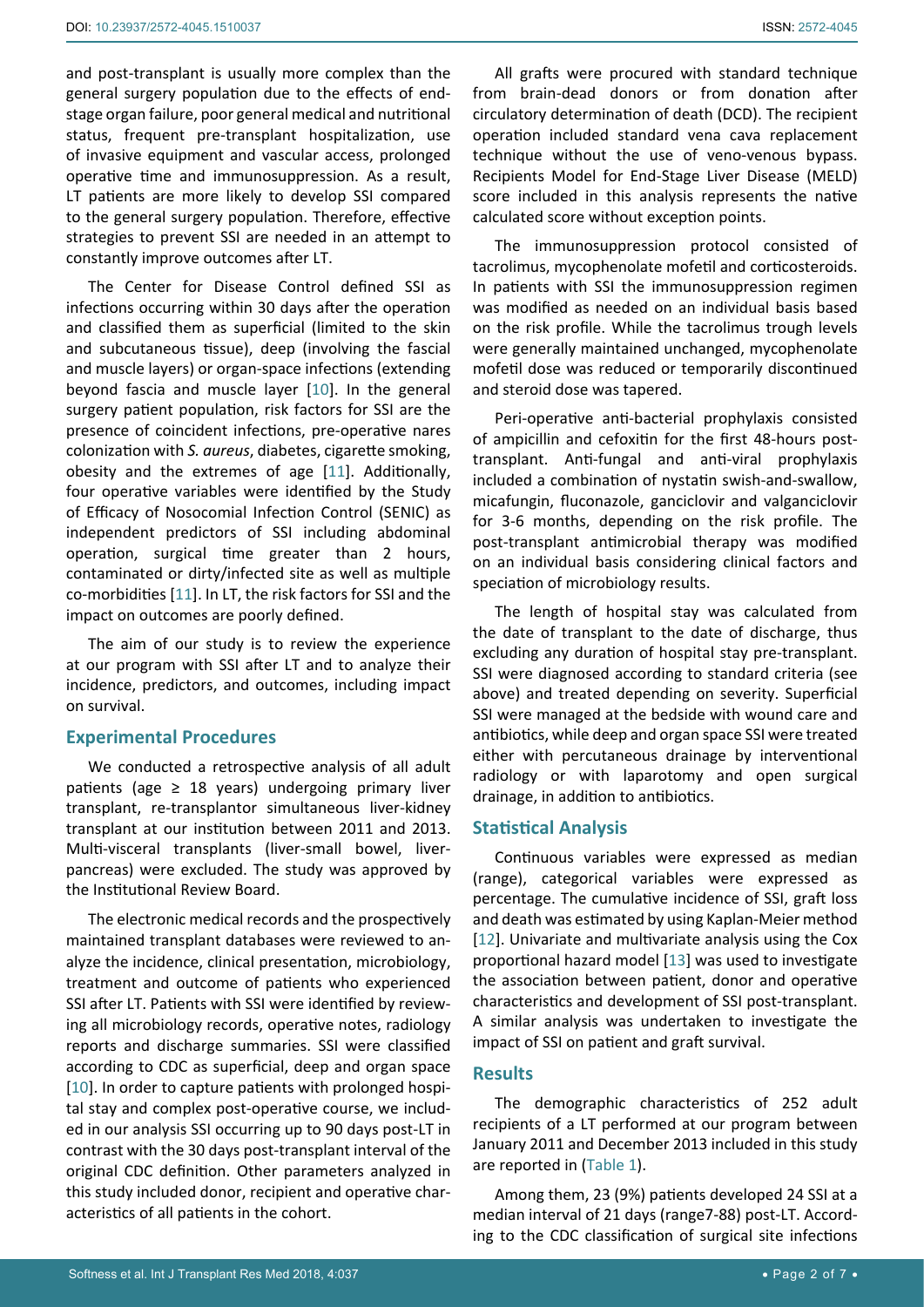and post-transplant is usually more complex than the general surgery population due to the effects of endstage organ failure, poor general medical and nutritional status, frequent pre-transplant hospitalization, use of invasive equipment and vascular access, prolonged operative time and immunosuppression. As a result, LT patients are more likely to develop SSI compared to the general surgery population. Therefore, effective strategies to prevent SSI are needed in an attempt to constantly improve outcomes after LT.

The Center for Disease Control defined SSI as infections occurring within 30 days after the operation and classified them as superficial (limited to the skin and subcutaneous tissue), deep (involving the fascial and muscle layers) or organ-space infections (extending beyond fascia and muscle layer [[10](#page-5-11)]. In the general surgery patient population, risk factors for SSI are the presence of coincident infections, pre-operative nares colonization with *S. aureus*, diabetes, cigarette smoking, obesity and the extremes of age [[11](#page-5-12)]. Additionally, four operative variables were identified by the Study of Efficacy of Nosocomial Infection Control (SENIC) as independent predictors of SSI including abdominal operation, surgical time greater than 2 hours, contaminated or dirty/infected site as well as multiple co-morbidities [[11](#page-5-12)]. In LT, the risk factors for SSI and the impact on outcomes are poorly defined.

The aim of our study is to review the experience at our program with SSI after LT and to analyze their incidence, predictors, and outcomes, including impact on survival.

#### **Experimental Procedures**

We conducted a retrospective analysis of all adult patients (age  $\geq$  18 years) undergoing primary liver transplant, re-transplantor simultaneous liver-kidney transplant at our institution between 2011 and 2013. Multi-visceral transplants (liver-small bowel, liverpancreas) were excluded. The study was approved by the Institutional Review Board.

The electronic medical records and the prospectively maintained transplant databases were reviewed to analyze the incidence, clinical presentation, microbiology, treatment and outcome of patients who experienced SSI after LT. Patients with SSI were identified by reviewing all microbiology records, operative notes, radiology reports and discharge summaries. SSI were classified according to CDC as superficial, deep and organ space [[10](#page-5-11)]. In order to capture patients with prolonged hospital stay and complex post-operative course, we included in our analysis SSI occurring up to 90 days post-LT in contrast with the 30 days post-transplant interval of the original CDC definition. Other parameters analyzed in this study included donor, recipient and operative characteristics of all patients in the cohort.

All grafts were procured with standard technique from brain-dead donors or from donation after circulatory determination of death (DCD). The recipient operation included standard vena cava replacement technique without the use of veno-venous bypass. Recipients Model for End-Stage Liver Disease (MELD) score included in this analysis represents the native calculated score without exception points.

The immunosuppression protocol consisted of tacrolimus, mycophenolate mofetil and corticosteroids. In patients with SSI the immunosuppression regimen was modified as needed on an individual basis based on the risk profile. While the tacrolimus trough levels were generally maintained unchanged, mycophenolate mofetil dose was reduced or temporarily discontinued and steroid dose was tapered.

Peri-operative anti-bacterial prophylaxis consisted of ampicillin and cefoxitin for the first 48-hours posttransplant. Anti-fungal and anti-viral prophylaxis included a combination of nystatin swish-and-swallow, micafungin, fluconazole, ganciclovir and valganciclovir for 3-6 months, depending on the risk profile. The post-transplant antimicrobial therapy was modified on an individual basis considering clinical factors and speciation of microbiology results.

The length of hospital stay was calculated from the date of transplant to the date of discharge, thus excluding any duration of hospital stay pre-transplant. SSI were diagnosed according to standard criteria (see above) and treated depending on severity. Superficial SSI were managed at the bedside with wound care and antibiotics, while deep and organ space SSI were treated either with percutaneous drainage by interventional radiology or with laparotomy and open surgical drainage, in addition to antibiotics.

#### **Statistical Analysis**

Continuous variables were expressed as median (range), categorical variables were expressed as percentage. The cumulative incidence of SSI, graft loss and death was estimated by using Kaplan-Meier method [[12](#page-5-9)]. Univariate and multivariate analysis using the Cox proportional hazard model [[13](#page-5-10)] was used to investigate the association between patient, donor and operative characteristics and development of SSI post-transplant. A similar analysis was undertaken to investigate the impact of SSI on patient and graft survival.

## **Results**

The demographic characteristics of 252 adult recipients of a LT performed at our program between January 2011 and December 2013 included in this study are reported in [\(Table 1\)](#page-2-0).

Among them, 23 (9%) patients developed 24 SSI at a median interval of 21 days (range7-88) post-LT. According to the CDC classification of surgical site infections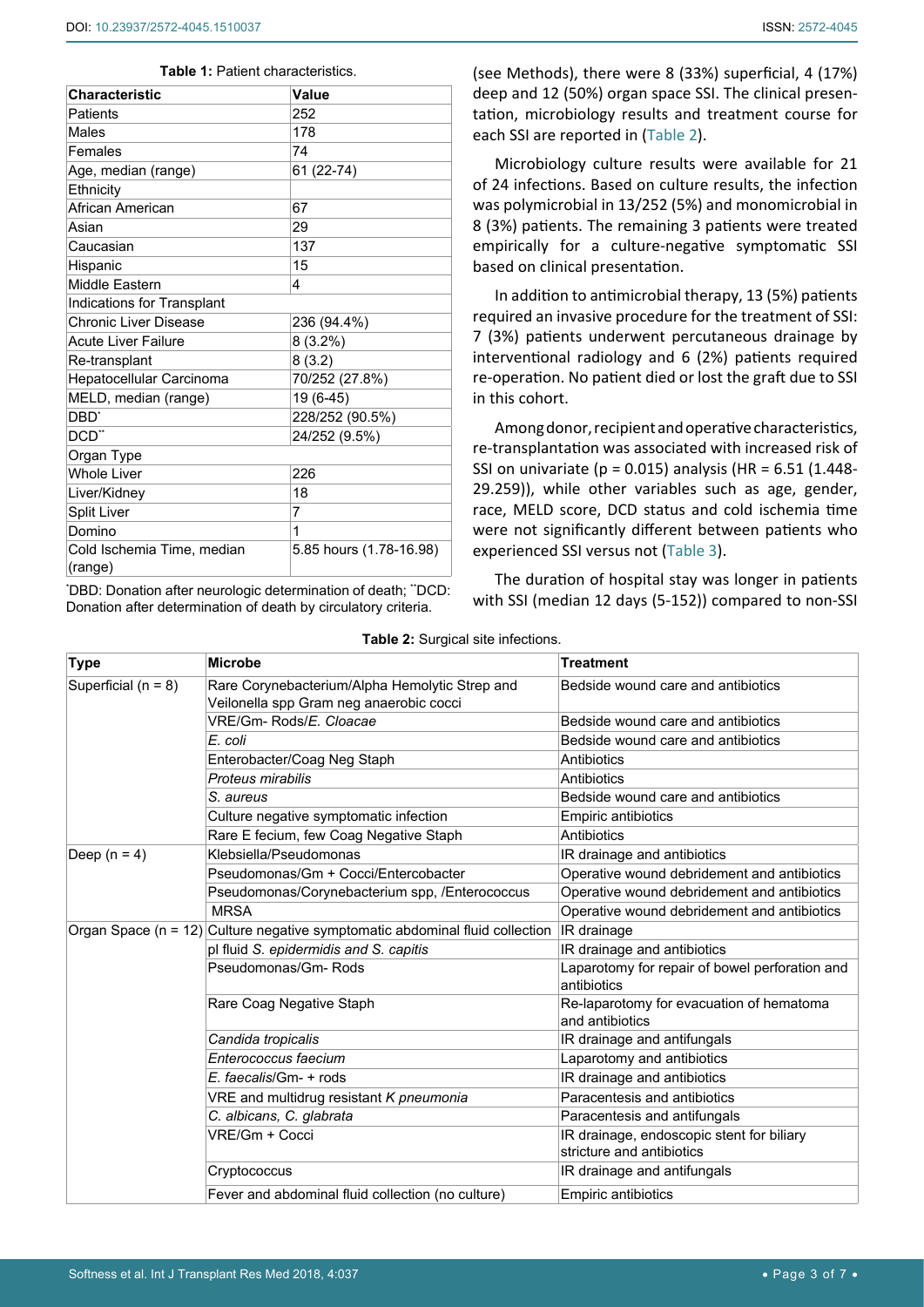<span id="page-2-0"></span>

| <b>Characteristic</b>                 | Value                   |
|---------------------------------------|-------------------------|
| Patients                              | 252                     |
| Males                                 | 178                     |
| Females                               | 74                      |
| Age, median (range)                   | 61 (22-74)              |
| Ethnicity                             |                         |
| African American                      | 67                      |
| Asian                                 | 29                      |
| Caucasian                             | 137                     |
| Hispanic                              | 15                      |
| Middle Eastern                        | 4                       |
| Indications for Transplant            |                         |
| <b>Chronic Liver Disease</b>          | 236 (94.4%)             |
| <b>Acute Liver Failure</b>            | $8(3.2\%)$              |
| Re-transplant                         | 8(3.2)                  |
| Hepatocellular Carcinoma              | 70/252 (27.8%)          |
| MELD, median (range)                  | 19 (6-45)               |
| DBD'                                  | 228/252 (90.5%)         |
| DCD**                                 | 24/252 (9.5%)           |
| Organ Type                            |                         |
| <b>Whole Liver</b>                    | 226                     |
| Liver/Kidney                          | 18                      |
| Split Liver                           | 7                       |
| Domino                                | 1                       |
| Cold Ischemia Time, median<br>(range) | 5.85 hours (1.78-16.98) |

'DBD: Donation after neurologic determination of death; "DCD: Donation after determination of death by circulatory criteria.

(see Methods), there were 8 (33%) superficial, 4 (17%) deep and 12 (50%) organ space SSI. The clinical presentation, microbiology results and treatment course for each SSI are reported in [\(Table 2\)](#page-2-1).

Microbiology culture results were available for 21 of 24 infections. Based on culture results, the infection was polymicrobial in 13/252 (5%) and monomicrobial in 8 (3%) patients. The remaining 3 patients were treated empirically for a culture-negative symptomatic SSI based on clinical presentation.

In addition to antimicrobial therapy, 13 (5%) patients required an invasive procedure for the treatment of SSI: 7 (3%) patients underwent percutaneous drainage by interventional radiology and 6 (2%) patients required re-operation. No patient died or lost the graft due to SSI in this cohort.

Among donor, recipient and operative characteristics, re-transplantation was associated with increased risk of SSI on univariate ( $p = 0.015$ ) analysis (HR = 6.51 (1.448-29.259)), while other variables such as age, gender, race, MELD score, DCD status and cold ischemia time were not significantly different between patients who experienced SSI versus not ([Table 3](#page-3-0)).

The duration of hospital stay was longer in patients with SSI (median 12 days (5-152)) compared to non-SSI

|                       | able <b>2.</b> Ourgiour site imoctions.                                          |                                                                        |
|-----------------------|----------------------------------------------------------------------------------|------------------------------------------------------------------------|
| <b>Type</b>           | <b>Microbe</b>                                                                   | <b>Treatment</b>                                                       |
| Superficial $(n = 8)$ | Rare Corynebacterium/Alpha Hemolytic Strep and                                   | Bedside wound care and antibiotics                                     |
|                       | Veilonella spp Gram neg anaerobic cocci                                          |                                                                        |
|                       | VRE/Gm- Rods/E. Cloacae                                                          | Bedside wound care and antibiotics                                     |
|                       | E. coli                                                                          | Bedside wound care and antibiotics                                     |
|                       | Enterobacter/Coag Neg Staph                                                      | Antibiotics                                                            |
|                       | Proteus mirabilis                                                                | Antibiotics                                                            |
|                       | S. aureus                                                                        | Bedside wound care and antibiotics                                     |
|                       | Culture negative symptomatic infection                                           | <b>Empiric antibiotics</b>                                             |
|                       | Rare E fecium, few Coag Negative Staph                                           | Antibiotics                                                            |
| Deep $(n = 4)$        | Klebsiella/Pseudomonas                                                           | IR drainage and antibiotics                                            |
|                       | Pseudomonas/Gm + Cocci/Entercobacter                                             | Operative wound debridement and antibiotics                            |
|                       | Pseudomonas/Corynebacterium spp, /Enterococcus                                   | Operative wound debridement and antibiotics                            |
|                       | <b>MRSA</b>                                                                      | Operative wound debridement and antibiotics                            |
|                       | Organ Space ( $n = 12$ ) Culture negative symptomatic abdominal fluid collection | IR drainage                                                            |
|                       | pl fluid S. epidermidis and S. capitis                                           | IR drainage and antibiotics                                            |
|                       | Pseudomonas/Gm-Rods                                                              | Laparotomy for repair of bowel perforation and<br>antibiotics          |
|                       | Rare Coag Negative Staph                                                         | Re-laparotomy for evacuation of hematoma<br>and antibiotics            |
|                       | Candida tropicalis                                                               | IR drainage and antifungals                                            |
|                       | Enterococcus faecium                                                             | Laparotomy and antibiotics                                             |
|                       | E. faecalis/Gm- + rods                                                           | IR drainage and antibiotics                                            |
|                       | VRE and multidrug resistant K pneumonia                                          | Paracentesis and antibiotics                                           |
|                       | C. albicans, C. glabrata                                                         | Paracentesis and antifungals                                           |
|                       | VRE/Gm + Cocci                                                                   | IR drainage, endoscopic stent for biliary<br>stricture and antibiotics |
|                       | Cryptococcus                                                                     | IR drainage and antifungals                                            |
|                       | Fever and abdominal fluid collection (no culture)                                | <b>Empiric antibiotics</b>                                             |

<span id="page-2-1"></span>**Table 2:** Surgical site infections.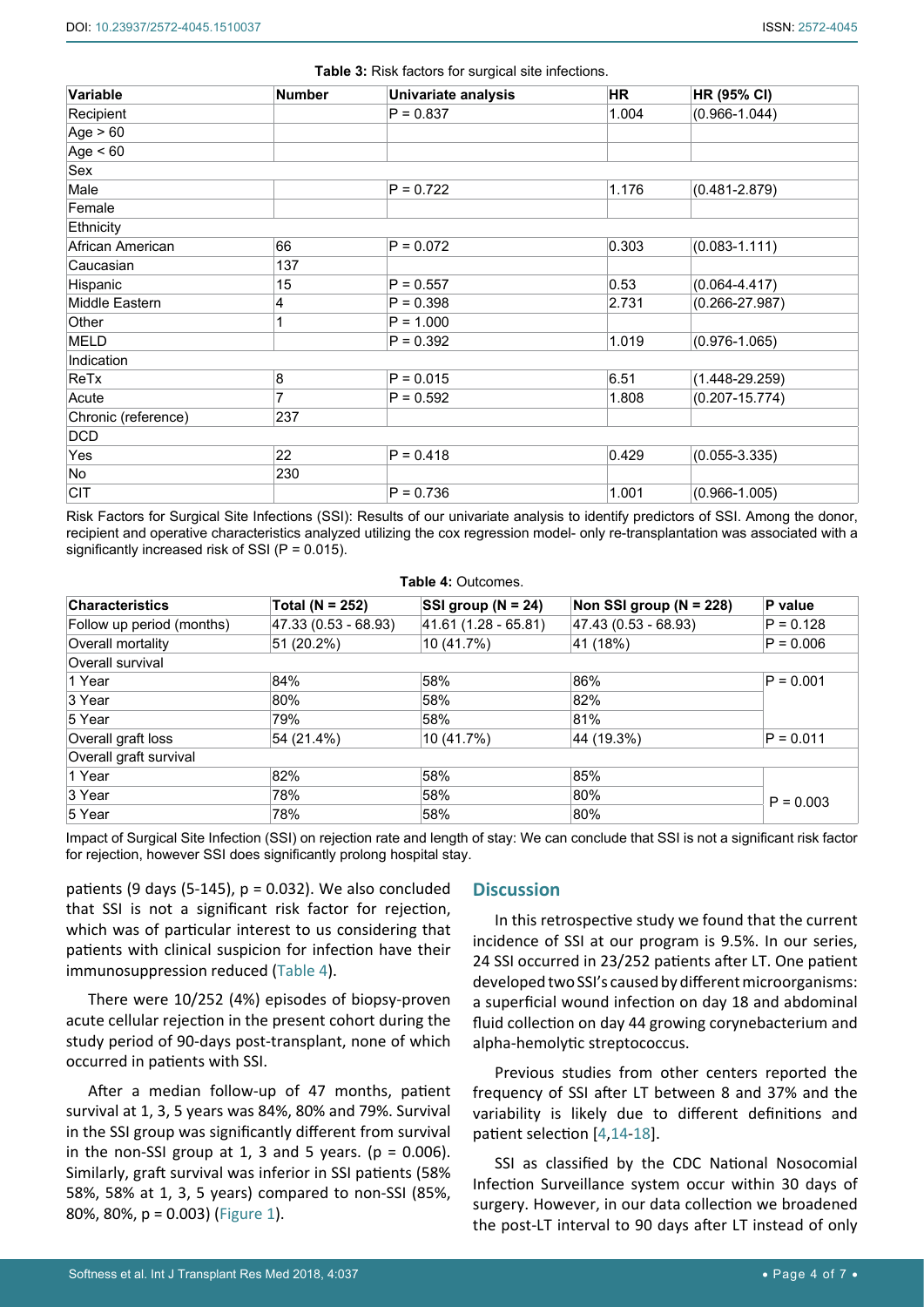| Variable            | <b>Number</b> | Univariate analysis  | HR    | <b>HR (95% CI)</b> |
|---------------------|---------------|----------------------|-------|--------------------|
| Recipient           |               | $P = 0.837$          | 1.004 | $(0.966 - 1.044)$  |
| Age $> 60$          |               |                      |       |                    |
| Age $< 60$          |               |                      |       |                    |
| Sex                 |               |                      |       |                    |
| Male                |               | $P = 0.722$          | 1.176 | $(0.481 - 2.879)$  |
| Female              |               |                      |       |                    |
| Ethnicity           |               |                      |       |                    |
| African American    | 66            | $P = 0.072$          | 0.303 | $(0.083 - 1.111)$  |
| Caucasian           | 137           |                      |       |                    |
| Hispanic<br>15      |               | 0.53<br>$P = 0.557$  |       | $(0.064 - 4.417)$  |
| Middle Eastern<br>4 |               | $P = 0.398$<br>2.731 |       | $(0.266 - 27.987)$ |
| Other               |               | $P = 1.000$          |       |                    |
| <b>MELD</b>         |               |                      | 1.019 | $(0.976 - 1.065)$  |
| Indication          |               |                      |       |                    |
| 8<br>ReTx           |               | $P = 0.015$          | 6.51  | $(1.448 - 29.259)$ |
| Acute               | 7             | $P = 0.592$          | 1.808 | $(0.207 - 15.774)$ |
| Chronic (reference) | 237           |                      |       |                    |
| <b>DCD</b>          |               |                      |       |                    |
| Yes                 | 22            | $P = 0.418$          | 0.429 | $(0.055 - 3.335)$  |
| No                  | 230           |                      |       |                    |
| <b>CIT</b>          |               | $P = 0.736$          | 1.001 | $(0.966 - 1.005)$  |

<span id="page-3-0"></span>**Table 3:** Risk factors for surgical site infections.

Risk Factors for Surgical Site Infections (SSI): Results of our univariate analysis to identify predictors of SSI. Among the donor, recipient and operative characteristics analyzed utilizing the cox regression model- only re-transplantation was associated with a significantly increased risk of SSI (P = 0.015).

<span id="page-3-1"></span>

| <b>Table 4: Outcomes.</b> |
|---------------------------|
|---------------------------|

| <b>Characteristics</b>    | Total ( $N = 252$ )  | SSI group ( $N = 24$ ) | Non SSI group ( $N = 228$ ) | P value     |  |
|---------------------------|----------------------|------------------------|-----------------------------|-------------|--|
| Follow up period (months) | 47.33 (0.53 - 68.93) | 41.61 (1.28 - 65.81)   | 47.43 (0.53 - 68.93)        | $P = 0.128$ |  |
| Overall mortality         | 51 (20.2%)           | 10 (41.7%)             | 41 (18%)                    | $P = 0.006$ |  |
| Overall survival          |                      |                        |                             |             |  |
| 1 Year                    | 84%                  | 58%                    | 86%                         | $P = 0.001$ |  |
| 3 Year                    | 80%                  | 58%                    | 82%                         |             |  |
| 5 Year                    | 79%                  | 58%                    | 81%                         |             |  |
| Overall graft loss        | 54 (21.4%)           | 10 (41.7%)             | 44 (19.3%)                  | $P = 0.011$ |  |
| Overall graft survival    |                      |                        |                             |             |  |
| 1 Year                    | 82%                  | 58%                    | 85%                         | $P = 0.003$ |  |
| 3 Year                    | 78%                  | 58%                    | 80%                         |             |  |
| 5 Year                    | 78%                  | 58%                    | 80%                         |             |  |

Impact of Surgical Site Infection (SSI) on rejection rate and length of stay: We can conclude that SSI is not a significant risk factor for rejection, however SSI does significantly prolong hospital stay.

patients (9 days (5-145),  $p = 0.032$ ). We also concluded that SSI is not a significant risk factor for rejection, which was of particular interest to us considering that patients with clinical suspicion for infection have their immunosuppression reduced ([Table 4](#page-3-1)).

There were 10/252 (4%) episodes of biopsy-proven acute cellular rejection in the present cohort during the study period of 90-days post-transplant, none of which occurred in patients with SSI.

After a median follow-up of 47 months, patient survival at 1, 3, 5 years was 84%, 80% and 79%. Survival in the SSI group was significantly different from survival in the non-SSI group at 1, 3 and 5 years. ( $p = 0.006$ ). Similarly, graft survival was inferior in SSI patients (58% 58%, 58% at 1, 3, 5 years) compared to non-SSI (85%, 80%, 80%, p = 0.003) [\(Figure 1](#page-4-0)).

## **Discussion**

In this retrospective study we found that the current incidence of SSI at our program is 9.5%. In our series, 24 SSI occurred in 23/252 patients after LT. One patient developed two SSI's caused by different microorganisms: a superficial wound infection on day 18 and abdominal fluid collection on day 44 growing corynebacterium and alpha-hemolytic streptococcus.

Previous studies from other centers reported the frequency of SSI after LT between 8 and 37% and the variability is likely due to different definitions and patient selection [[4](#page-5-3),[14-](#page-5-13)[18](#page-5-14)].

SSI as classified by the CDC National Nosocomial Infection Surveillance system occur within 30 days of surgery. However, in our data collection we broadened the post-LT interval to 90 days after LT instead of only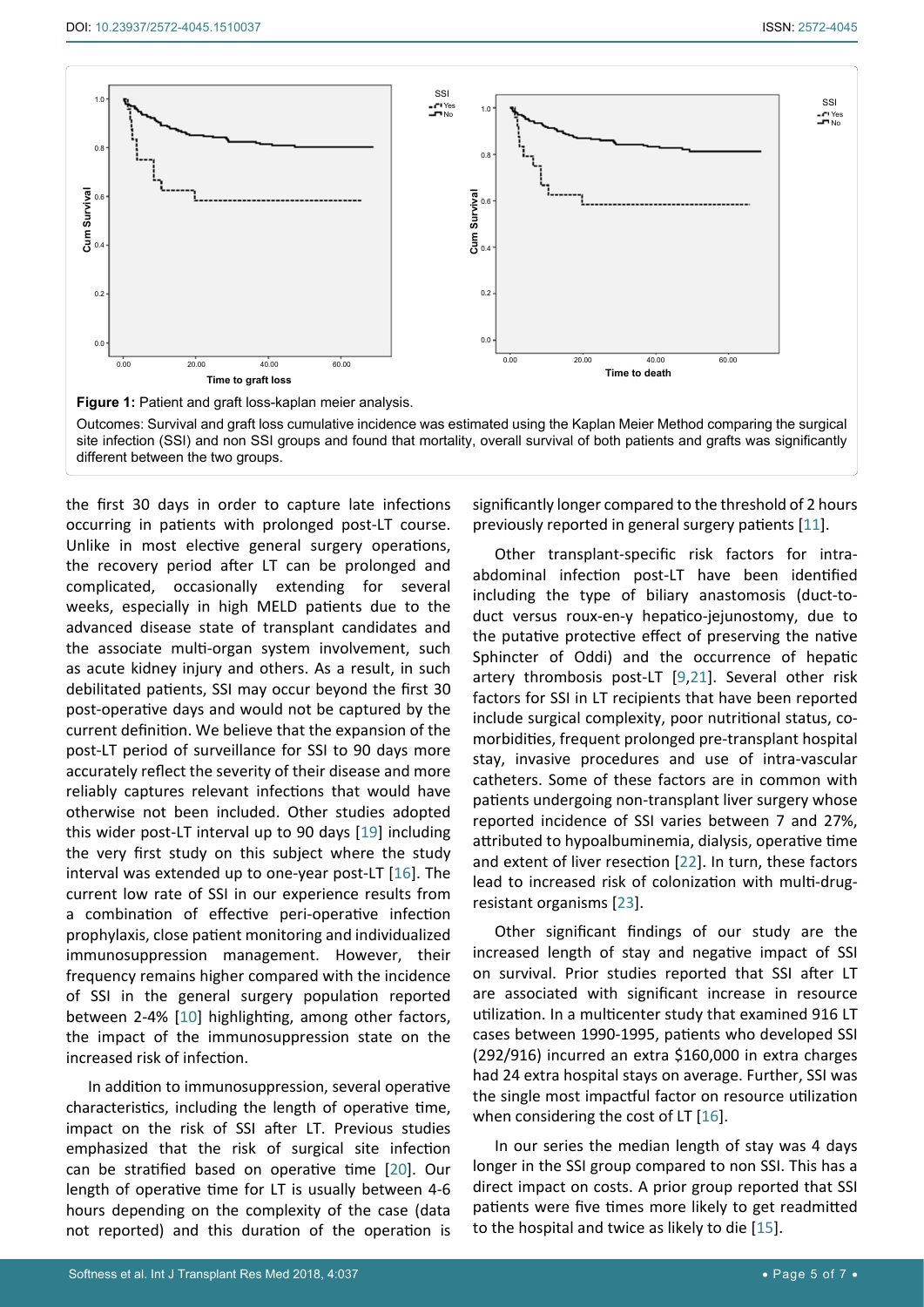<span id="page-4-0"></span>

Outcomes: Survival and graft loss cumulative incidence was estimated using the Kaplan Meier Method comparing the surgical site infection (SSI) and non SSI groups and found that mortality, overall survival of both patients and grafts was significantly different between the two groups.

the first 30 days in order to capture late infections occurring in patients with prolonged post-LT course. Unlike in most elective general surgery operations, the recovery period after LT can be prolonged and complicated, occasionally extending for several weeks, especially in high MELD patients due to the advanced disease state of transplant candidates and the associate multi-organ system involvement, such as acute kidney injury and others. As a result, in such debilitated patients, SSI may occur beyond the first 30 post-operative days and would not be captured by the current definition. We believe that the expansion of the post-LT period of surveillance for SSI to 90 days more accurately reflect the severity of their disease and more reliably captures relevant infections that would have otherwise not been included. Other studies adopted this wider post-LT interval up to 90 days [[19](#page-5-17)] including the very first study on this subject where the study interval was extended up to one-year post-LT [[16\]](#page-5-15). The current low rate of SSI in our experience results from a combination of effective peri-operative infection prophylaxis, close patient monitoring and individualized immunosuppression management. However, their frequency remains higher compared with the incidence of SSI in the general surgery population reported between 2-4% [[10](#page-5-11)] highlighting, among other factors, the impact of the immunosuppression state on the increased risk of infection.

In addition to immunosuppression, several operative characteristics, including the length of operative time, impact on the risk of SSI after LT. Previous studies emphasized that the risk of surgical site infection can be stratified based on operative time [[20](#page-5-18)]. Our length of operative time for LT is usually between 4-6 hours depending on the complexity of the case (data not reported) and this duration of the operation is significantly longer compared to the threshold of 2 hours previously reported in general surgery patients [[11\]](#page-5-12).

Other transplant-specific risk factors for intraabdominal infection post-LT have been identified including the type of biliary anastomosis (duct-toduct versus roux-en-y hepatico-jejunostomy, due to the putative protective effect of preserving the native Sphincter of Oddi) and the occurrence of hepatic artery thrombosis post-LT [[9](#page-5-8),[21](#page-6-0)]. Several other risk factors for SSI in LT recipients that have been reported include surgical complexity, poor nutritional status, comorbidities, frequent prolonged pre-transplant hospital stay, invasive procedures and use of intra-vascular catheters. Some of these factors are in common with patients undergoing non-transplant liver surgery whose reported incidence of SSI varies between 7 and 27%, attributed to hypoalbuminemia, dialysis, operative time and extent of liver resection [[22](#page-6-1)]. In turn, these factors lead to increased risk of colonization with multi-drugresistant organisms [[23\]](#page-6-2).

Other significant findings of our study are the increased length of stay and negative impact of SSI on survival. Prior studies reported that SSI after LT are associated with significant increase in resource utilization. In a multicenter study that examined 916 LT cases between 1990-1995, patients who developed SSI (292/916) incurred an extra \$160,000 in extra charges had 24 extra hospital stays on average. Further, SSI was the single most impactful factor on resource utilization when considering the cost of LT [\[16](#page-5-15)].

In our series the median length of stay was 4 days longer in the SSI group compared to non SSI. This has a direct impact on costs. A prior group reported that SSI patients were five times more likely to get readmitted to the hospital and twice as likely to die [[15\]](#page-5-16).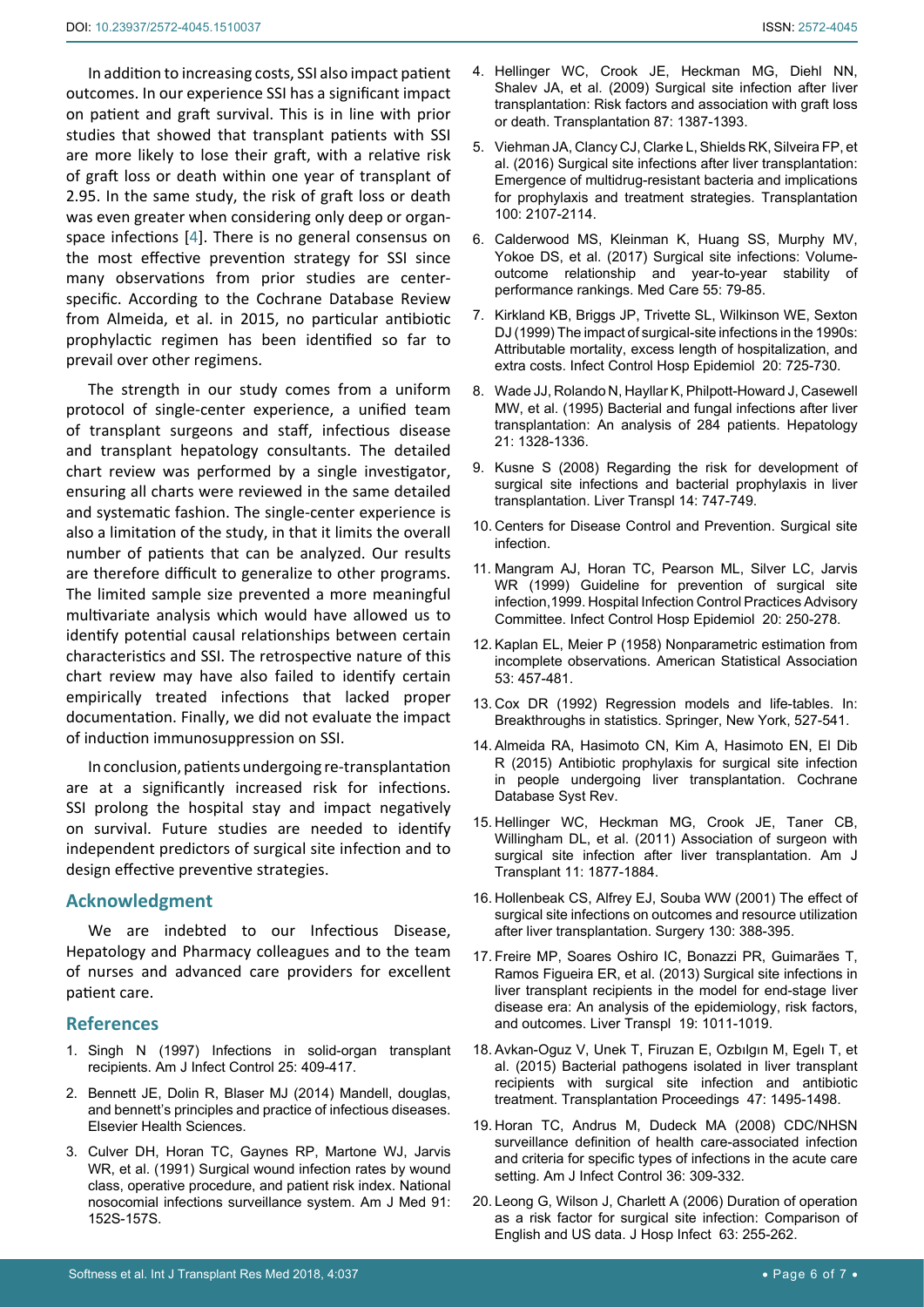In addition to increasing costs, SSI also impact patient outcomes. In our experience SSI has a significant impact on patient and graft survival. This is in line with prior studies that showed that transplant patients with SSI are more likely to lose their graft, with a relative risk of graft loss or death within one year of transplant of 2.95. In the same study, the risk of graft loss or death was even greater when considering only deep or organspace infections [[4](#page-5-3)]. There is no general consensus on the most effective prevention strategy for SSI since many observations from prior studies are centerspecific. According to the Cochrane Database Review from Almeida, et al. in 2015, no particular antibiotic prophylactic regimen has been identified so far to prevail over other regimens.

The strength in our study comes from a uniform protocol of single-center experience, a unified team of transplant surgeons and staff, infectious disease and transplant hepatology consultants. The detailed chart review was performed by a single investigator, ensuring all charts were reviewed in the same detailed and systematic fashion. The single-center experience is also a limitation of the study, in that it limits the overall number of patients that can be analyzed. Our results are therefore difficult to generalize to other programs. The limited sample size prevented a more meaningful multivariate analysis which would have allowed us to identify potential causal relationships between certain characteristics and SSI. The retrospective nature of this chart review may have also failed to identify certain empirically treated infections that lacked proper documentation. Finally, we did not evaluate the impact of induction immunosuppression on SSI.

In conclusion, patients undergoing re-transplantation are at a significantly increased risk for infections. SSI prolong the hospital stay and impact negatively on survival. Future studies are needed to identify independent predictors of surgical site infection and to design effective preventive strategies.

#### **Acknowledgment**

We are indebted to our Infectious Disease, Hepatology and Pharmacy colleagues and to the team of nurses and advanced care providers for excellent patient care.

#### **References**

- <span id="page-5-0"></span>1. [Singh N \(1997\) Infections in solid-organ transplant](https://www.ncbi.nlm.nih.gov/pubmed/9343625)  [recipients. Am J Infect Control 25: 409-417.](https://www.ncbi.nlm.nih.gov/pubmed/9343625)
- <span id="page-5-1"></span>2. Bennett JE, Dolin R, Blaser MJ (2014) Mandell, douglas, and bennett's principles and practice of infectious diseases. Elsevier Health Sciences.
- <span id="page-5-2"></span>3. [Culver DH, Horan TC, Gaynes RP, Martone WJ, Jarvis](https://www.ncbi.nlm.nih.gov/pubmed/1656747)  [WR, et al. \(1991\) Surgical wound infection rates by wound](https://www.ncbi.nlm.nih.gov/pubmed/1656747)  [class, operative procedure, and patient risk index. National](https://www.ncbi.nlm.nih.gov/pubmed/1656747)  [nosocomial infections surveillance system. Am J Med 91:](https://www.ncbi.nlm.nih.gov/pubmed/1656747)  [152S-157S.](https://www.ncbi.nlm.nih.gov/pubmed/1656747)
- <span id="page-5-3"></span>4. [Hellinger WC, Crook JE, Heckman MG, Diehl NN,](https://www.ncbi.nlm.nih.gov/pubmed/19424041)  [Shalev JA, et al. \(2009\) Surgical site infection after liver](https://www.ncbi.nlm.nih.gov/pubmed/19424041)  [transplantation: Risk factors and association with graft loss](https://www.ncbi.nlm.nih.gov/pubmed/19424041)  [or death. Transplantation 87: 1387-1393.](https://www.ncbi.nlm.nih.gov/pubmed/19424041)
- <span id="page-5-4"></span>5. [Viehman JA, Clancy CJ, Clarke L, Shields RK, Silveira FP, et](https://www.ncbi.nlm.nih.gov/pubmed/27479167)  [al. \(2016\) Surgical site infections after liver transplantation:](https://www.ncbi.nlm.nih.gov/pubmed/27479167)  [Emergence of multidrug-resistant bacteria and implications](https://www.ncbi.nlm.nih.gov/pubmed/27479167)  [for prophylaxis and treatment strategies. Transplantation](https://www.ncbi.nlm.nih.gov/pubmed/27479167)  [100: 2107-2114.](https://www.ncbi.nlm.nih.gov/pubmed/27479167)
- <span id="page-5-5"></span>6. [Calderwood MS, Kleinman K, Huang SS, Murphy MV,](https://www.ncbi.nlm.nih.gov/pubmed/27517331)  [Yokoe DS, et al. \(2017\) Surgical site infections: Volume](https://www.ncbi.nlm.nih.gov/pubmed/27517331)[outcome relationship and year-to-year stability of](https://www.ncbi.nlm.nih.gov/pubmed/27517331)  [performance rankings. Med Care 55: 79-85.](https://www.ncbi.nlm.nih.gov/pubmed/27517331)
- <span id="page-5-6"></span>7. [Kirkland KB, Briggs JP, Trivette SL, Wilkinson WE, Sexton](https://www.ncbi.nlm.nih.gov/pubmed/10580621)  [DJ \(1999\) The impact of surgical-site infections in the 1990s:](https://www.ncbi.nlm.nih.gov/pubmed/10580621)  [Attributable mortality, excess length of hospitalization, and](https://www.ncbi.nlm.nih.gov/pubmed/10580621)  [extra costs. Infect Control Hosp Epidemiol 20: 725-730.](https://www.ncbi.nlm.nih.gov/pubmed/10580621)
- <span id="page-5-7"></span>8. [Wade JJ, Rolando N, Hayllar K, Philpott-Howard J, Casewell](https://www.ncbi.nlm.nih.gov/pubmed/7737639)  [MW, et al. \(1995\) Bacterial and fungal infections after liver](https://www.ncbi.nlm.nih.gov/pubmed/7737639)  [transplantation: An analysis of 284 patients. Hepatology](https://www.ncbi.nlm.nih.gov/pubmed/7737639)  [21: 1328-1336.](https://www.ncbi.nlm.nih.gov/pubmed/7737639)
- <span id="page-5-8"></span>9. Kusne S (2008) Regarding the risk for development of surgical site infections and bacterial prophylaxis in liver transplantation. Liver Transpl 14: 747-749.
- <span id="page-5-11"></span>10. [Centers for Disease Control and Prevention. Surgical site](https://www.cdc.gov/infectioncontrol/guidelines/ssi/index.html)  [infection.](https://www.cdc.gov/infectioncontrol/guidelines/ssi/index.html)
- <span id="page-5-12"></span>11. [Mangram AJ, Horan TC, Pearson ML, Silver LC, Jarvis](https://www.ncbi.nlm.nih.gov/pubmed/10219875)  [WR \(1999\) Guideline for prevention of surgical site](https://www.ncbi.nlm.nih.gov/pubmed/10219875)  [infection,1999. Hospital Infection Control Practices Advisory](https://www.ncbi.nlm.nih.gov/pubmed/10219875)  [Committee. Infect Control Hosp Epidemiol 20: 250-278.](https://www.ncbi.nlm.nih.gov/pubmed/10219875)
- <span id="page-5-9"></span>12. [Kaplan EL, Meier P \(1958\) Nonparametric estimation from](https://www.jstor.org/stable/2281868?seq=1#page_scan_tab_contents)  [incomplete observations. American Statistical Association](https://www.jstor.org/stable/2281868?seq=1#page_scan_tab_contents)  [53: 457-481.](https://www.jstor.org/stable/2281868?seq=1#page_scan_tab_contents)
- <span id="page-5-10"></span>13. [Cox DR \(1992\) Regression models and life-tables. In:](https://www.nuffield.ox.ac.uk/users/cox/cox106.pdf)  [Breakthroughs in statistics. Springer, New York, 527-541.](https://www.nuffield.ox.ac.uk/users/cox/cox106.pdf)
- <span id="page-5-13"></span>14. [Almeida RA, Hasimoto CN, Kim A, Hasimoto EN, El Dib](https://www.ncbi.nlm.nih.gov/pubmed/26637264)  [R \(2015\) Antibiotic prophylaxis for surgical site infection](https://www.ncbi.nlm.nih.gov/pubmed/26637264)  [in people undergoing liver transplantation. Cochrane](https://www.ncbi.nlm.nih.gov/pubmed/26637264)  [Database Syst Rev.](https://www.ncbi.nlm.nih.gov/pubmed/26637264)
- <span id="page-5-16"></span>15. [Hellinger WC, Heckman MG, Crook JE, Taner CB,](https://onlinelibrary.wiley.com/doi/full/10.1111/j.1600-6143.2011.03644.x)  [Willingham DL, et al. \(2011\) Association of surgeon with](https://onlinelibrary.wiley.com/doi/full/10.1111/j.1600-6143.2011.03644.x)  [surgical site infection after liver transplantation. Am J](https://onlinelibrary.wiley.com/doi/full/10.1111/j.1600-6143.2011.03644.x)  [Transplant 11: 1877-1884.](https://onlinelibrary.wiley.com/doi/full/10.1111/j.1600-6143.2011.03644.x)
- <span id="page-5-15"></span>16. [Hollenbeak CS, Alfrey EJ, Souba WW \(2001\) The effect of](https://www.ncbi.nlm.nih.gov/pubmed/11490376)  [surgical site infections on outcomes and resource utilization](https://www.ncbi.nlm.nih.gov/pubmed/11490376)  [after liver transplantation. Surgery 130: 388-395.](https://www.ncbi.nlm.nih.gov/pubmed/11490376)
- 17. [Freire MP, Soares Oshiro IC, Bonazzi PR, Guimarães T,](https://www.ncbi.nlm.nih.gov/pubmed/23744748)  [Ramos Figueira ER, et al. \(2013\) Surgical site infections in](https://www.ncbi.nlm.nih.gov/pubmed/23744748)  [liver transplant recipients in the model for end-stage liver](https://www.ncbi.nlm.nih.gov/pubmed/23744748)  [disease era: An analysis of the epidemiology, risk factors,](https://www.ncbi.nlm.nih.gov/pubmed/23744748)  [and outcomes. Liver Transpl 19: 1011-1019.](https://www.ncbi.nlm.nih.gov/pubmed/23744748)
- <span id="page-5-14"></span>18. [Avkan-Oguz V, Unek T, Firuzan E, Ozbılgın M, Egelı T, et](https://www.sciencedirect.com/science/article/pii/S0041134515003723)  [al. \(2015\) Bacterial pathogens isolated in liver transplant](https://www.sciencedirect.com/science/article/pii/S0041134515003723)  [recipients with surgical site infection and antibiotic](https://www.sciencedirect.com/science/article/pii/S0041134515003723)  [treatment. Transplantation Proceedings 47: 1495-1498.](https://www.sciencedirect.com/science/article/pii/S0041134515003723)
- <span id="page-5-17"></span>19. [Horan TC, Andrus M, Dudeck MA \(2008\) CDC/NHSN](https://www.ncbi.nlm.nih.gov/pubmed/18538699)  [surveillance definition of health care-associated infection](https://www.ncbi.nlm.nih.gov/pubmed/18538699)  [and criteria for specific types of infections in the acute care](https://www.ncbi.nlm.nih.gov/pubmed/18538699)  [setting. Am J Infect Control 36: 309-332.](https://www.ncbi.nlm.nih.gov/pubmed/18538699)
- <span id="page-5-18"></span>20. [Leong G, Wilson J, Charlett A \(2006\) Duration of operation](https://www.ncbi.nlm.nih.gov/pubmed/16698117)  [as a risk factor for surgical site infection: Comparison of](https://www.ncbi.nlm.nih.gov/pubmed/16698117)  [English and US data. J Hosp Infect 63: 255-262.](https://www.ncbi.nlm.nih.gov/pubmed/16698117)